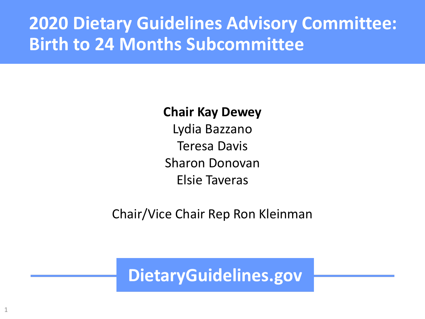#### **2020 Dietary Guidelines Advisory Committee: Birth to 24 Months Subcommittee**

#### **Chair Kay Dewey**

Lydia Bazzano Teresa Davis Sharon Donovan Elsie Taveras

Chair/Vice Chair Rep Ron Kleinman

**DietaryGuidelines.gov**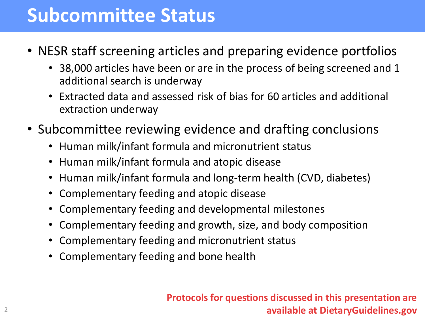## **Subcommittee Status**

- NESR staff screening articles and preparing evidence portfolios
	- 38,000 articles have been or are in the process of being screened and 1 additional search is underway
	- Extracted data and assessed risk of bias for 60 articles and additional extraction underway
- Subcommittee reviewing evidence and drafting conclusions
	- Human milk/infant formula and micronutrient status
	- Human milk/infant formula and atopic disease
	- Human milk/infant formula and long-term health (CVD, diabetes)
	- Complementary feeding and atopic disease
	- Complementary feeding and developmental milestones
	- Complementary feeding and growth, size, and body composition
	- Complementary feeding and micronutrient status
	- Complementary feeding and bone health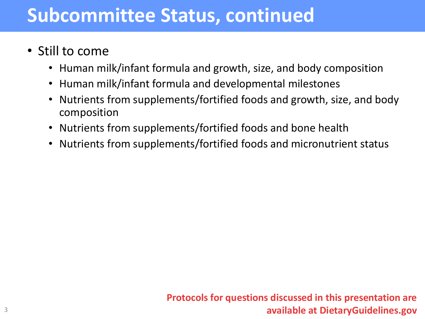## **Subcommittee Status, continued**

- Still to come
	- Human milk/infant formula and growth, size, and body composition
	- Human milk/infant formula and developmental milestones
	- Nutrients from supplements/fortified foods and growth, size, and body composition
	- Nutrients from supplements/fortified foods and bone health
	- Nutrients from supplements/fortified foods and micronutrient status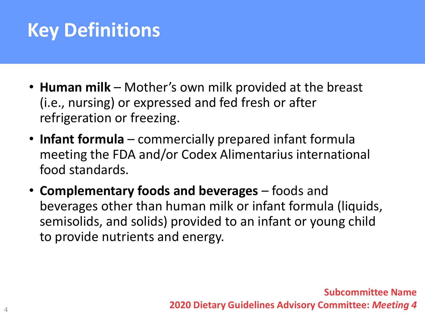# **Key Definitions**

- **Human milk** Mother's own milk provided at the breast (i.e., nursing) or expressed and fed fresh or after refrigeration or freezing.
- **Infant formula**  commercially prepared infant formula meeting the FDA and/or Codex Alimentarius international food standards.
- **Complementary foods and beverages** foods and beverages other than human milk or infant formula (liquids, semisolids, and solids) provided to an infant or young child to provide nutrients and energy.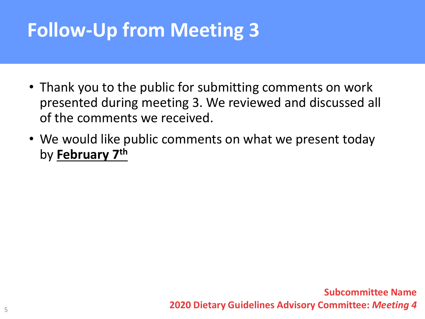# **Follow-Up from Meeting 3**

- Thank you to the public for submitting comments on work presented during meeting 3. We reviewed and discussed all of the comments we received.
- We would like public comments on what we present today by **February 7th**

**Subcommittee Name 2020 Dietary Guidelines Advisory Committee:** *Meeting 4*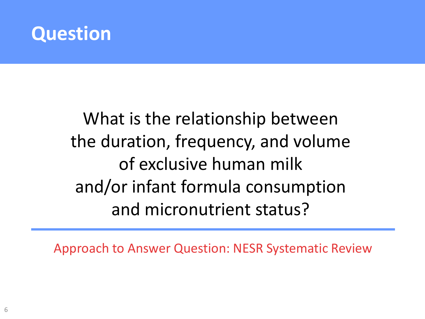

# What is the relationship between the duration, frequency, and volume of exclusive human milk and/or infant formula consumption and micronutrient status?

Approach to Answer Question: NESR Systematic Review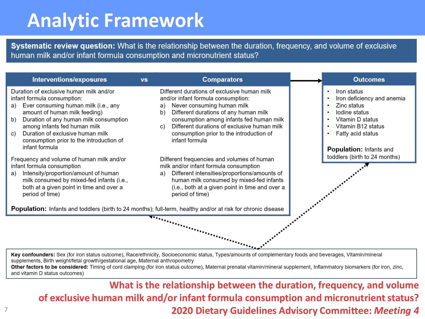# **Analytic Framework**

7

Systematic review question: What is the relationship between the duration, frequency, and volume of exclusive human milk and/or infant formula consumption and micronutrient status?

| Interventions/exposures                                                                                                                                                                                                                                                                                                     | <b>VS</b> | <b>Comparators</b>                                                                                                                                                                                                                                                                                                                  |  | <b>Outcomes</b>                                                                                                                          |  |
|-----------------------------------------------------------------------------------------------------------------------------------------------------------------------------------------------------------------------------------------------------------------------------------------------------------------------------|-----------|-------------------------------------------------------------------------------------------------------------------------------------------------------------------------------------------------------------------------------------------------------------------------------------------------------------------------------------|--|------------------------------------------------------------------------------------------------------------------------------------------|--|
| Duration of exclusive human milk and/or<br>infant formula consumption:<br>Ever consuming human milk (i.e., any<br>a)<br>amount of human milk feeding)<br>Duration of any human milk consumption<br>b)<br>among infants fed human milk<br>Duration of exclusive human milk<br>C)<br>consumption prior to the introduction of |           | Different durations of exclusive human milk<br>and/or infant formula consumption:<br>Never consuming human milk<br>a)<br>Different durations of any human milk<br>b)<br>consumption among infants fed human milk<br>Different durations of exclusive human milk<br>C)<br>consumption prior to the introduction of<br>infant formula |  | Iron status<br>Iron deficiency and anemia<br>Zinc status<br>Iodine status<br>Vitamin D status<br>Vitamin B12 status<br>Fatty acid status |  |
| infant formula<br>Frequency and volume of human milk and/or<br>infant formula consumption<br>Intensity/proportion/amount of human<br>a)                                                                                                                                                                                     |           | Different frequencies and volumes of human<br>milk and/or infant formula consumption<br>Different intensities/proportions/amounts of<br>a)                                                                                                                                                                                          |  | <b>Population: Infants and</b><br>toddlers (birth to 24 months)                                                                          |  |
| milk consumed by mixed-fed infants (i.e.,<br>both at a given point in time and over a<br>period of time)                                                                                                                                                                                                                    |           | human milk consumed by mixed-fed infants<br>(i.e., both at a given point in time and over a<br>period of time)                                                                                                                                                                                                                      |  |                                                                                                                                          |  |
| Population: Infants and toddlers (birth to 24 months); full-term, healthy and/or at risk for chronic disease                                                                                                                                                                                                                |           |                                                                                                                                                                                                                                                                                                                                     |  |                                                                                                                                          |  |
| <b>The Contract of Contract of Contract of Contract of Contract of Contract of Contract of Contract of Contract of Contract of Contract of Contract of Contract of Contract of Contract of Contract of Contract of Contract of C</b>                                                                                        |           |                                                                                                                                                                                                                                                                                                                                     |  |                                                                                                                                          |  |

Key confounders: Sex (for iron status outcome), Race/ethnicity, Socioeconomic status, Types/amounts of complementary foods and beverages, Vitamin/mineral supplements, Birth weight/fetal growth/gestational age, Maternal anthropometry

Other factors to be considered: Timing of cord clamping (for iron status outcome), Maternal prenatal vitamin/mineral supplement, Inflammatory biomarkers (for iron, zinc, and vitamin D status outcomes)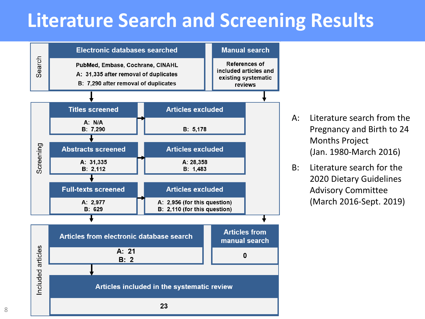## **Literature Search and Screening Results**



- A: Literature search from the Pregnancy and Birth to 24 Months Project (Jan. 1980-March 2016)
- B: Literature search for the 2020 Dietary Guidelines Advisory Committee (March 2016-Sept. 2019)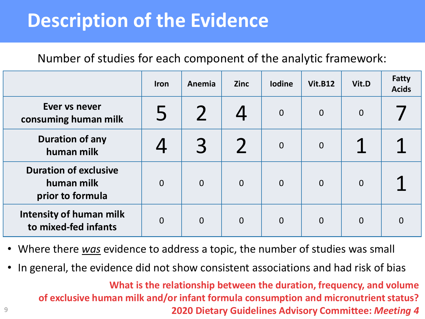## **Description of the Evidence**

Number of studies for each component of the analytic framework:

|                                                                | <b>Iron</b>    | Anemia         | <b>Zinc</b>              | <b>Iodine</b>  | <b>Vit.B12</b> | Vit.D          | <b>Fatty</b><br><b>Acids</b> |
|----------------------------------------------------------------|----------------|----------------|--------------------------|----------------|----------------|----------------|------------------------------|
| Ever vs never<br>consuming human milk                          |                |                |                          | $\mathbf 0$    | $\overline{0}$ | $\overline{0}$ |                              |
| <b>Duration of any</b><br>human milk                           |                | 3              | $\overline{\phantom{a}}$ | $\overline{0}$ | $\overline{0}$ | ◢              | ◢                            |
| <b>Duration of exclusive</b><br>human milk<br>prior to formula | $\overline{0}$ | $\overline{0}$ | $\mathbf 0$              | $\overline{0}$ | $\overline{0}$ | $\Omega$       |                              |
| <b>Intensity of human milk</b><br>to mixed-fed infants         | $\overline{0}$ | $\overline{0}$ | $\overline{0}$           | $\overline{0}$ | $\overline{0}$ | $\overline{0}$ | $\Omega$                     |

- Where there *was* evidence to address a topic, the number of studies was small
- In general, the evidence did not show consistent associations and had risk of bias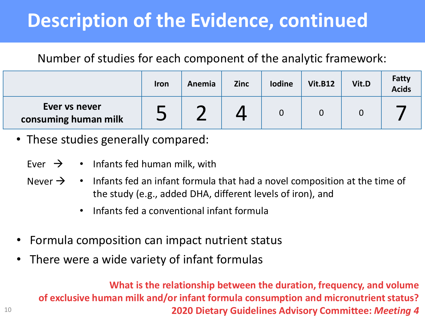# **Description of the Evidence, continued**

#### Number of studies for each component of the analytic framework:

|                                       | <b>Iron</b> | Anemia                   | <b>Zinc</b> | <b>lodine</b> | <b>Vit.B12</b> | Vit.D | Fatty<br><b>Acids</b> |
|---------------------------------------|-------------|--------------------------|-------------|---------------|----------------|-------|-----------------------|
| Ever vs never<br>consuming human milk | نسم ا       | $\overline{\phantom{0}}$ |             |               |                |       |                       |

• These studies generally compared:

- Ever  $\rightarrow$   $\cdot$  Infants fed human milk, with
- Never  $\rightarrow$   $\cdot$  Infants fed an infant formula that had a novel composition at the time of the study (e.g., added DHA, different levels of iron), and
	- Infants fed a conventional infant formula
- Formula composition can impact nutrient status
- There were a wide variety of infant formulas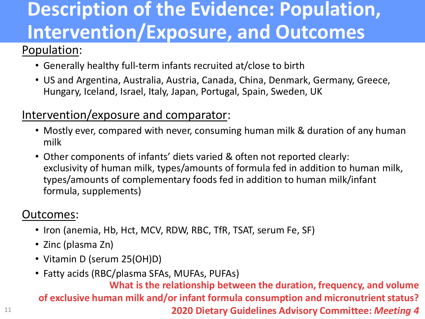# **Description of the Evidence: Population, Intervention/Exposure, and Outcomes**

#### Population:

- Generally healthy full-term infants recruited at/close to birth
- US and Argentina, Australia, Austria, Canada, China, Denmark, Germany, Greece, Hungary, Iceland, Israel, Italy, Japan, Portugal, Spain, Sweden, UK

#### Intervention/exposure and comparator:

- Mostly ever, compared with never, consuming human milk & duration of any human milk
- Other components of infants' diets varied & often not reported clearly: exclusivity of human milk, types/amounts of formula fed in addition to human milk, types/amounts of complementary foods fed in addition to human milk/infant formula, supplements)

#### Outcomes:

- Iron (anemia, Hb, Hct, MCV, RDW, RBC, TfR, TSAT, serum Fe, SF)
- Zinc (plasma Zn)
- Vitamin D (serum 25(OH)D)
- Fatty acids (RBC/plasma SFAs, MUFAs, PUFAs)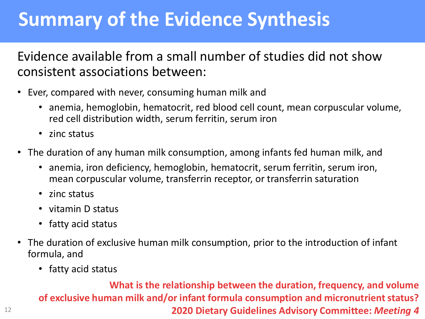## **Summary of the Evidence Synthesis**

Evidence available from a small number of studies did not show consistent associations between:

- Ever, compared with never, consuming human milk and
	- anemia, hemoglobin, hematocrit, red blood cell count, mean corpuscular volume, red cell distribution width, serum ferritin, serum iron
	- zinc status
- The duration of any human milk consumption, among infants fed human milk, and
	- anemia, iron deficiency, hemoglobin, hematocrit, serum ferritin, serum iron, mean corpuscular volume, transferrin receptor, or transferrin saturation
	- zinc status
	- vitamin D status
	- fatty acid status
- The duration of exclusive human milk consumption, prior to the introduction of infant formula, and
	- fatty acid status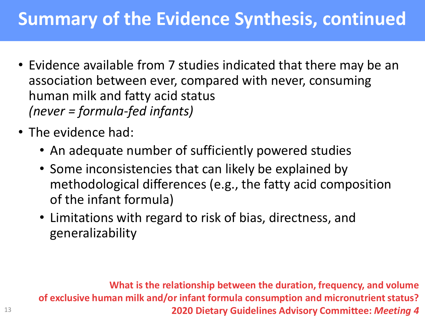## **Summary of the Evidence Synthesis, continued**

- Evidence available from 7 studies indicated that there may be an association between ever, compared with never, consuming human milk and fatty acid status *(never = formula-fed infants)*
- The evidence had:
	- An adequate number of sufficiently powered studies
	- Some inconsistencies that can likely be explained by methodological differences (e.g., the fatty acid composition of the infant formula)
	- Limitations with regard to risk of bias, directness, and generalizability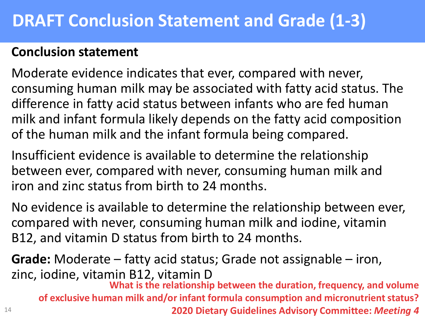#### **DRAFT Conclusion Statement and Grade (1-3)**

#### **Conclusion statement**

Moderate evidence indicates that ever, compared with never, consuming human milk may be associated with fatty acid status. The difference in fatty acid status between infants who are fed human milk and infant formula likely depends on the fatty acid composition of the human milk and the infant formula being compared.

Insufficient evidence is available to determine the relationship between ever, compared with never, consuming human milk and iron and zinc status from birth to 24 months.

No evidence is available to determine the relationship between ever, compared with never, consuming human milk and iodine, vitamin B12, and vitamin D status from birth to 24 months.

14 **Grade:** Moderate – fatty acid status; Grade not assignable – iron, zinc, iodine, vitamin B12, vitamin D **What is the relationship between the duration, frequency, and volume of exclusive human milk and/or infant formula consumption and micronutrient status? 2020 Dietary Guidelines Advisory Committee:** *Meeting 4*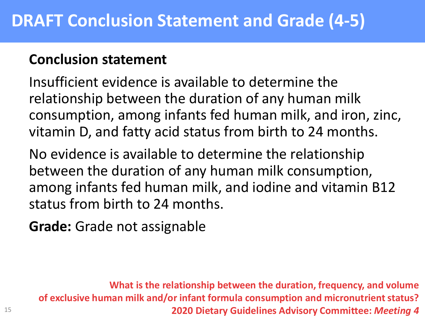#### **Conclusion statement**

Insufficient evidence is available to determine the relationship between the duration of any human milk consumption, among infants fed human milk, and iron, zinc, vitamin D, and fatty acid status from birth to 24 months.

No evidence is available to determine the relationship between the duration of any human milk consumption, among infants fed human milk, and iodine and vitamin B12 status from birth to 24 months.

**Grade:** Grade not assignable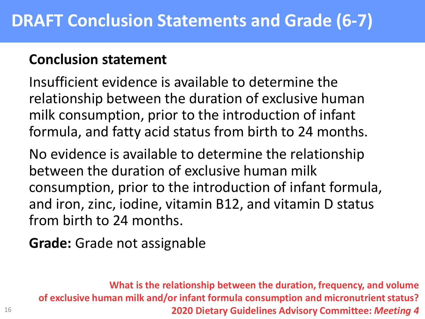#### **Conclusion statement**

Insufficient evidence is available to determine the relationship between the duration of exclusive human milk consumption, prior to the introduction of infant formula, and fatty acid status from birth to 24 months.

No evidence is available to determine the relationship between the duration of exclusive human milk consumption, prior to the introduction of infant formula, and iron, zinc, iodine, vitamin B12, and vitamin D status from birth to 24 months.

**Grade:** Grade not assignable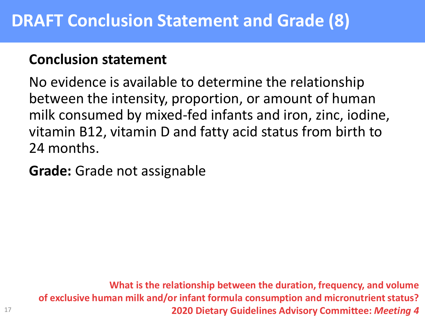#### **Conclusion statement**

No evidence is available to determine the relationship between the intensity, proportion, or amount of human milk consumed by mixed-fed infants and iron, zinc, iodine, vitamin B12, vitamin D and fatty acid status from birth to 24 months.

**Grade:** Grade not assignable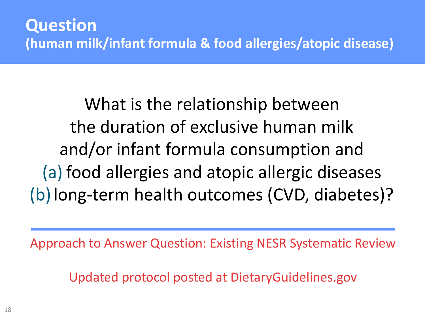What is the relationship between the duration of exclusive human milk and/or infant formula consumption and (a) food allergies and atopic allergic diseases (b)long-term health outcomes (CVD, diabetes)?

Approach to Answer Question: Existing NESR Systematic Review

Updated protocol posted at DietaryGuidelines.gov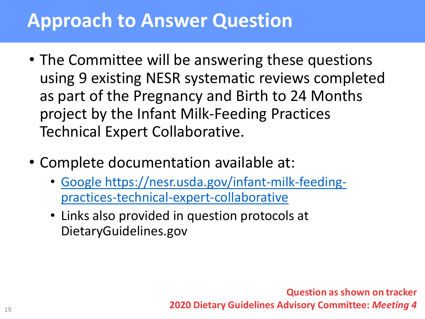## **Approach to Answer Question**

- The Committee will be answering these questions using 9 existing NESR systematic reviews completed as part of the Pregnancy and Birth to 24 Months project by the Infant Milk-Feeding Practices Technical Expert Collaborative.
- Complete documentation available at:
	- [Google https://nesr.usda.gov/infant-milk-feeding](https://nesr.usda.gov/infant-milk-feeding-practices-technical-expert-collaborative)practices-technical-expert-collaborative
	- Links also provided in question protocols at DietaryGuidelines.gov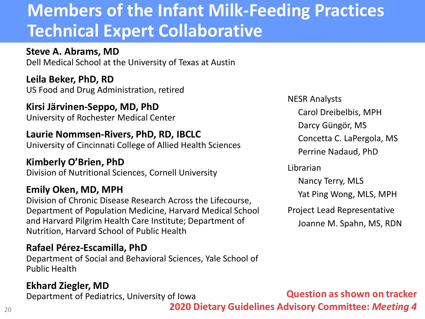#### **Members of the Infant Milk-Feeding Practices Technical Expert Collaborative**

**Steve A. Abrams, MD** Dell Medical School at the University of Texas at Austin

**Leila Beker, PhD, RD** US Food and Drug Administration, retired

**Kirsi Järvinen-Seppo, MD, PhD** University of Rochester Medical Center

#### **Laurie Nommsen-Rivers, PhD, RD, IBCLC**

University of Cincinnati College of Allied Health Sciences

**Kimberly O'Brien, PhD** Division of Nutritional Sciences, Cornell University

#### **Emily Oken, MD, MPH**

Division of Chronic Disease Research Across the Lifecourse, Department of Population Medicine, Harvard Medical School and Harvard Pilgrim Health Care Institute; Department of Nutrition, Harvard School of Public Health

#### **Rafael Pérez-Escamilla, PhD**

Department of Social and Behavioral Sciences, Yale School of Public Health

#### **Ekhard Ziegler, MD**

Department of Pediatrics, University of Iowa

NESR Analysts

Carol Dreibelbis, MPH

Darcy Güngör, MS

Concetta C. LaPergola, MS

Perrine Nadaud, PhD

Librarian

Nancy Terry, MLS

Yat Ping Wong, MLS, MPH

Project Lead Representative Joanne M. Spahn, MS, RDN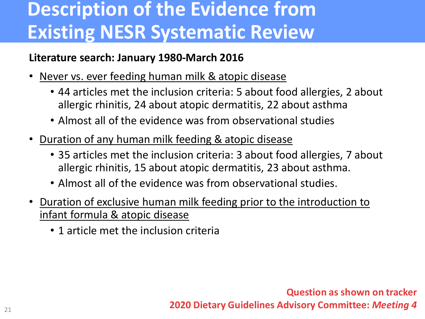# **Description of the Evidence from Existing NESR Systematic Review**

#### **Literature search: January 1980-March 2016**

- Never vs. ever feeding human milk & atopic disease
	- 44 articles met the inclusion criteria: 5 about food allergies, 2 about allergic rhinitis, 24 about atopic dermatitis, 22 about asthma
	- Almost all of the evidence was from observational studies
- Duration of any human milk feeding & atopic disease
	- 35 articles met the inclusion criteria: 3 about food allergies, 7 about allergic rhinitis, 15 about atopic dermatitis, 23 about asthma.
	- Almost all of the evidence was from observational studies.
- Duration of exclusive human milk feeding prior to the introduction to infant formula & atopic disease
	- 1 article met the inclusion criteria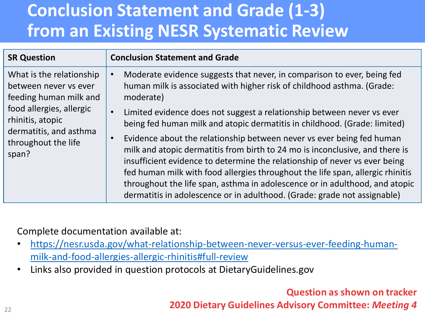## **Conclusion Statement and Grade (1-3) from an Existing NESR Systematic Review**

| <b>SR Question</b>                                                                                                                                                                    | <b>Conclusion Statement and Grade</b>                                                                                                                                                                                                                                                                                                                                                                                                                                                         |
|---------------------------------------------------------------------------------------------------------------------------------------------------------------------------------------|-----------------------------------------------------------------------------------------------------------------------------------------------------------------------------------------------------------------------------------------------------------------------------------------------------------------------------------------------------------------------------------------------------------------------------------------------------------------------------------------------|
| What is the relationship<br>between never vs ever<br>feeding human milk and<br>food allergies, allergic<br>rhinitis, atopic<br>dermatitis, and asthma<br>throughout the life<br>span? | Moderate evidence suggests that never, in comparison to ever, being fed<br>human milk is associated with higher risk of childhood asthma. (Grade:<br>moderate)                                                                                                                                                                                                                                                                                                                                |
|                                                                                                                                                                                       | Limited evidence does not suggest a relationship between never vs ever<br>$\bullet$<br>being fed human milk and atopic dermatitis in childhood. (Grade: limited)                                                                                                                                                                                                                                                                                                                              |
|                                                                                                                                                                                       | Evidence about the relationship between never vs ever being fed human<br>$\bullet$<br>milk and atopic dermatitis from birth to 24 mo is inconclusive, and there is<br>insufficient evidence to determine the relationship of never vs ever being<br>fed human milk with food allergies throughout the life span, allergic rhinitis<br>throughout the life span, asthma in adolescence or in adulthood, and atopic<br>dermatitis in adolescence or in adulthood. (Grade: grade not assignable) |

Complete documentation available at:

- [https://nesr.usda.gov/what-relationship-between-never-versus-ever-feeding-human](https://nesr.usda.gov/what-relationship-between-never-versus-ever-feeding-human-milk-and-food-allergies-allergic-rhinitis#full-review)milk-and-food-allergies-allergic-rhinitis#full-review
- Links also provided in question protocols at DietaryGuidelines.gov

**Question as shown on tracker**

**2020 Dietary Guidelines Advisory Committee:** *Meeting 4*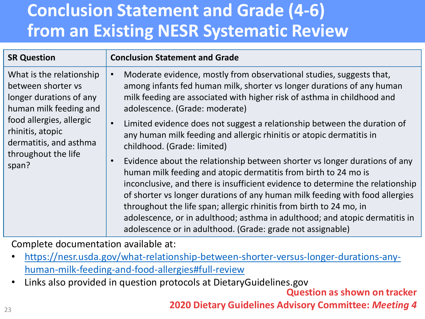## **Conclusion Statement and Grade (4-6) from an Existing NESR Systematic Review**

| <b>SR Question</b>                                                                                                                                                                                            | <b>Conclusion Statement and Grade</b>                                                                                                                                                                                                                                                                                                                                                                                                                                                                                                            |
|---------------------------------------------------------------------------------------------------------------------------------------------------------------------------------------------------------------|--------------------------------------------------------------------------------------------------------------------------------------------------------------------------------------------------------------------------------------------------------------------------------------------------------------------------------------------------------------------------------------------------------------------------------------------------------------------------------------------------------------------------------------------------|
| What is the relationship<br>between shorter vs<br>longer durations of any<br>human milk feeding and<br>food allergies, allergic<br>rhinitis, atopic<br>dermatitis, and asthma<br>throughout the life<br>span? | Moderate evidence, mostly from observational studies, suggests that,<br>$\bullet$<br>among infants fed human milk, shorter vs longer durations of any human<br>milk feeding are associated with higher risk of asthma in childhood and<br>adolescence. (Grade: moderate)                                                                                                                                                                                                                                                                         |
|                                                                                                                                                                                                               | Limited evidence does not suggest a relationship between the duration of<br>$\bullet$<br>any human milk feeding and allergic rhinitis or atopic dermatitis in<br>childhood. (Grade: limited)                                                                                                                                                                                                                                                                                                                                                     |
|                                                                                                                                                                                                               | Evidence about the relationship between shorter vs longer durations of any<br>$\bullet$<br>human milk feeding and atopic dermatitis from birth to 24 mo is<br>inconclusive, and there is insufficient evidence to determine the relationship<br>of shorter vs longer durations of any human milk feeding with food allergies<br>throughout the life span; allergic rhinitis from birth to 24 mo, in<br>adolescence, or in adulthood; asthma in adulthood; and atopic dermatitis in<br>adolescence or in adulthood. (Grade: grade not assignable) |

Complete documentation available at:

- [https://nesr.usda.gov/what-relationship-between-shorter-versus-longer-durations-any](https://nesr.usda.gov/what-relationship-between-shorter-versus-longer-durations-any-human-milk-feeding-and-food-allergies#full-review)human-milk-feeding-and-food-allergies#full-review
- Links also provided in question protocols at DietaryGuidelines.gov

**Question as shown on tracker**

**2020 Dietary Guidelines Advisory Committee:** *Meeting 4*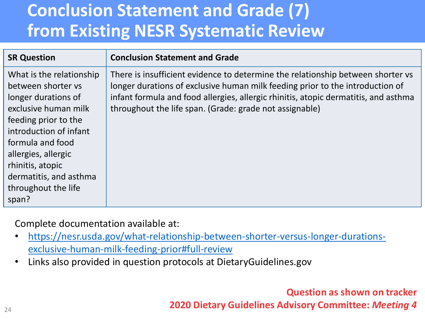## **Conclusion Statement and Grade (7) from Existing NESR Systematic Review**

| <b>SR Question</b>                                                                                                                                                                                                                                                       | <b>Conclusion Statement and Grade</b>                                                                                                                                                                                                                                                                              |
|--------------------------------------------------------------------------------------------------------------------------------------------------------------------------------------------------------------------------------------------------------------------------|--------------------------------------------------------------------------------------------------------------------------------------------------------------------------------------------------------------------------------------------------------------------------------------------------------------------|
| What is the relationship<br>between shorter vs<br>longer durations of<br>exclusive human milk<br>feeding prior to the<br>introduction of infant<br>formula and food<br>allergies, allergic<br>rhinitis, atopic<br>dermatitis, and asthma<br>throughout the life<br>span? | There is insufficient evidence to determine the relationship between shorter vs<br>longer durations of exclusive human milk feeding prior to the introduction of<br>infant formula and food allergies, allergic rhinitis, atopic dermatitis, and asthma<br>throughout the life span. (Grade: grade not assignable) |

Complete documentation available at:

- [https://nesr.usda.gov/what-relationship-between-shorter-versus-longer-durations](https://nesr.usda.gov/what-relationship-between-shorter-versus-longer-durations-exclusive-human-milk-feeding-prior#full-review)exclusive-human-milk-feeding-prior#full-review
- Links also provided in question protocols at DietaryGuidelines.gov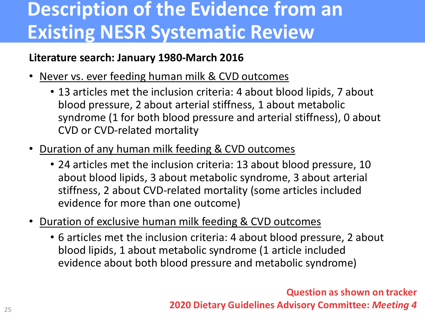# **Description of the Evidence from an Existing NESR Systematic Review**

#### **Literature search: January 1980-March 2016**

- Never vs. ever feeding human milk & CVD outcomes
	- 13 articles met the inclusion criteria: 4 about blood lipids, 7 about blood pressure, 2 about arterial stiffness, 1 about metabolic syndrome (1 for both blood pressure and arterial stiffness), 0 about CVD or CVD-related mortality
- Duration of any human milk feeding & CVD outcomes
	- 24 articles met the inclusion criteria: 13 about blood pressure, 10 about blood lipids, 3 about metabolic syndrome, 3 about arterial stiffness, 2 about CVD-related mortality (some articles included evidence for more than one outcome)
- Duration of exclusive human milk feeding & CVD outcomes
	- 6 articles met the inclusion criteria: 4 about blood pressure, 2 about blood lipids, 1 about metabolic syndrome (1 article included evidence about both blood pressure and metabolic syndrome)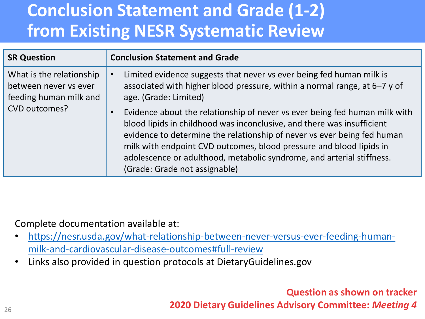## **Conclusion Statement and Grade (1-2) from Existing NESR Systematic Review**

| <b>SR Question</b>                                                          | <b>Conclusion Statement and Grade</b>                                                                                                                                                                                                                                                                                                                                                                                         |
|-----------------------------------------------------------------------------|-------------------------------------------------------------------------------------------------------------------------------------------------------------------------------------------------------------------------------------------------------------------------------------------------------------------------------------------------------------------------------------------------------------------------------|
| What is the relationship<br>between never vs ever<br>feeding human milk and | Limited evidence suggests that never vs ever being fed human milk is<br>associated with higher blood pressure, within a normal range, at 6-7 y of<br>age. (Grade: Limited)                                                                                                                                                                                                                                                    |
| CVD outcomes?                                                               | Evidence about the relationship of never vs ever being fed human milk with<br>$\bullet$<br>blood lipids in childhood was inconclusive, and there was insufficient<br>evidence to determine the relationship of never vs ever being fed human<br>milk with endpoint CVD outcomes, blood pressure and blood lipids in<br>adolescence or adulthood, metabolic syndrome, and arterial stiffness.<br>(Grade: Grade not assignable) |

Complete documentation available at:

- [https://nesr.usda.gov/what-relationship-between-never-versus-ever-feeding-human](https://nesr.usda.gov/what-relationship-between-never-versus-ever-feeding-human-milk-and-cardiovascular-disease-outcomes#full-review)milk-and-cardiovascular-disease-outcomes#full-review
- Links also provided in question protocols at DietaryGuidelines.gov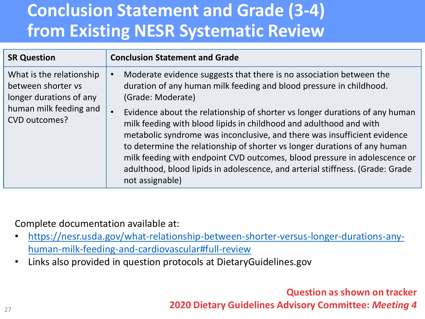## **Conclusion Statement and Grade (3-4) from Existing NESR Systematic Review**

| <b>SR Question</b>                                                                                                   | <b>Conclusion Statement and Grade</b>                                                                                                                                                                                                                                                                                                                                                            |
|----------------------------------------------------------------------------------------------------------------------|--------------------------------------------------------------------------------------------------------------------------------------------------------------------------------------------------------------------------------------------------------------------------------------------------------------------------------------------------------------------------------------------------|
| What is the relationship<br>between shorter vs<br>longer durations of any<br>human milk feeding and<br>CVD outcomes? | Moderate evidence suggests that there is no association between the<br>duration of any human milk feeding and blood pressure in childhood.<br>(Grade: Moderate)<br>Evidence about the relationship of shorter vs longer durations of any human<br>milk feeding with blood lipids in childhood and adulthood and with<br>metabolic syndrome was inconclusive, and there was insufficient evidence |
|                                                                                                                      | to determine the relationship of shorter vs longer durations of any human<br>milk feeding with endpoint CVD outcomes, blood pressure in adolescence or<br>adulthood, blood lipids in adolescence, and arterial stiffness. (Grade: Grade<br>not assignable)                                                                                                                                       |

Complete documentation available at:

- [https://nesr.usda.gov/what-relationship-between-shorter-versus-longer-durations-any](https://nesr.usda.gov/what-relationship-between-shorter-versus-longer-durations-any-human-milk-feeding-and-cardiovascular#full-review)human-milk-feeding-and-cardiovascular#full-review
- Links also provided in question protocols at DietaryGuidelines.gov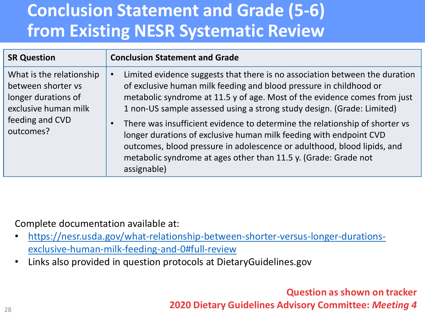## **Conclusion Statement and Grade (5-6) from Existing NESR Systematic Review**

| <b>SR Question</b>                                                                                                            | <b>Conclusion Statement and Grade</b>                                                                                                                                                                                                                                                                                                                                                                                                                                                                                                                                                                                                   |
|-------------------------------------------------------------------------------------------------------------------------------|-----------------------------------------------------------------------------------------------------------------------------------------------------------------------------------------------------------------------------------------------------------------------------------------------------------------------------------------------------------------------------------------------------------------------------------------------------------------------------------------------------------------------------------------------------------------------------------------------------------------------------------------|
| What is the relationship<br>between shorter vs<br>longer durations of<br>exclusive human milk<br>feeding and CVD<br>outcomes? | Limited evidence suggests that there is no association between the duration<br>of exclusive human milk feeding and blood pressure in childhood or<br>metabolic syndrome at 11.5 y of age. Most of the evidence comes from just<br>1 non-US sample assessed using a strong study design. (Grade: Limited)<br>There was insufficient evidence to determine the relationship of shorter vs<br>$\bullet$<br>longer durations of exclusive human milk feeding with endpoint CVD<br>outcomes, blood pressure in adolescence or adulthood, blood lipids, and<br>metabolic syndrome at ages other than 11.5 y. (Grade: Grade not<br>assignable) |

Complete documentation available at:

- [https://nesr.usda.gov/what-relationship-between-shorter-versus-longer-durations](https://nesr.usda.gov/what-relationship-between-shorter-versus-longer-durations-exclusive-human-milk-feeding-and-0#full-review)exclusive-human-milk-feeding-and-0#full-review
- Links also provided in question protocols at DietaryGuidelines.gov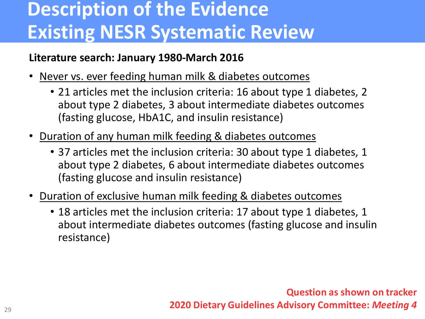# **Description of the Evidence Existing NESR Systematic Review**

#### **Literature search: January 1980-March 2016**

- Never vs. ever feeding human milk & diabetes outcomes
	- 21 articles met the inclusion criteria: 16 about type 1 diabetes, 2 about type 2 diabetes, 3 about intermediate diabetes outcomes (fasting glucose, HbA1C, and insulin resistance)
- Duration of any human milk feeding & diabetes outcomes
	- 37 articles met the inclusion criteria: 30 about type 1 diabetes, 1 about type 2 diabetes, 6 about intermediate diabetes outcomes (fasting glucose and insulin resistance)
- Duration of exclusive human milk feeding & diabetes outcomes
	- 18 articles met the inclusion criteria: 17 about type 1 diabetes, 1 about intermediate diabetes outcomes (fasting glucose and insulin resistance)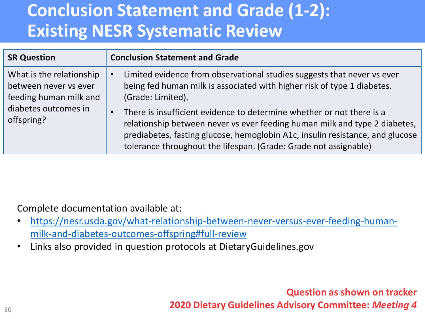#### **Conclusion Statement and Grade (1-2): Existing NESR Systematic Review**

| <b>SR Question</b>                                                          | <b>Conclusion Statement and Grade</b>                                                                                                                                                                                                                                                                                 |
|-----------------------------------------------------------------------------|-----------------------------------------------------------------------------------------------------------------------------------------------------------------------------------------------------------------------------------------------------------------------------------------------------------------------|
| What is the relationship<br>between never vs ever<br>feeding human milk and | Limited evidence from observational studies suggests that never vs ever<br>being fed human milk is associated with higher risk of type 1 diabetes.<br>(Grade: Limited).                                                                                                                                               |
| diabetes outcomes in<br>offspring?                                          | There is insufficient evidence to determine whether or not there is a<br>$\bullet$<br>relationship between never vs ever feeding human milk and type 2 diabetes,<br>prediabetes, fasting glucose, hemoglobin A1c, insulin resistance, and glucose<br>tolerance throughout the lifespan. (Grade: Grade not assignable) |

Complete documentation available at:

- [https://nesr.usda.gov/what-relationship-between-never-versus-ever-feeding-human](https://nesr.usda.gov/what-relationship-between-never-versus-ever-feeding-human-milk-and-diabetes-outcomes-offspring#full-review)milk-and-diabetes-outcomes-offspring#full-review
- Links also provided in question protocols at DietaryGuidelines.gov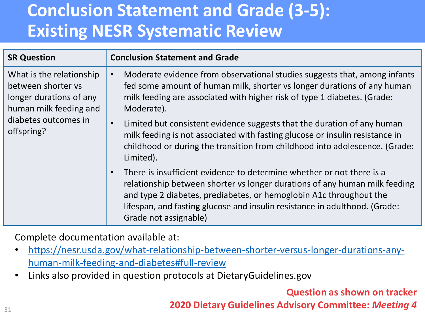## **Conclusion Statement and Grade (3-5): Existing NESR Systematic Review**

| <b>SR Question</b>                                                                                                                        | <b>Conclusion Statement and Grade</b>                                                                                                                                                                                                                                                                                                         |
|-------------------------------------------------------------------------------------------------------------------------------------------|-----------------------------------------------------------------------------------------------------------------------------------------------------------------------------------------------------------------------------------------------------------------------------------------------------------------------------------------------|
| What is the relationship<br>between shorter vs<br>longer durations of any<br>human milk feeding and<br>diabetes outcomes in<br>offspring? | Moderate evidence from observational studies suggests that, among infants<br>$\bullet$<br>fed some amount of human milk, shorter vs longer durations of any human<br>milk feeding are associated with higher risk of type 1 diabetes. (Grade:<br>Moderate).                                                                                   |
|                                                                                                                                           | Limited but consistent evidence suggests that the duration of any human<br>$\bullet$<br>milk feeding is not associated with fasting glucose or insulin resistance in<br>childhood or during the transition from childhood into adolescence. (Grade:<br>Limited).                                                                              |
|                                                                                                                                           | There is insufficient evidence to determine whether or not there is a<br>$\bullet$<br>relationship between shorter vs longer durations of any human milk feeding<br>and type 2 diabetes, prediabetes, or hemoglobin A1c throughout the<br>lifespan, and fasting glucose and insulin resistance in adulthood. (Grade:<br>Grade not assignable) |

Complete documentation available at:

- [https://nesr.usda.gov/what-relationship-between-shorter-versus-longer-durations-any](https://nesr.usda.gov/what-relationship-between-shorter-versus-longer-durations-any-human-milk-feeding-and-diabetes#full-review)human-milk-feeding-and-diabetes#full-review
- Links also provided in question protocols at DietaryGuidelines.gov

**Question as shown on tracker**

**2020 Dietary Guidelines Advisory Committee:** *Meeting 4*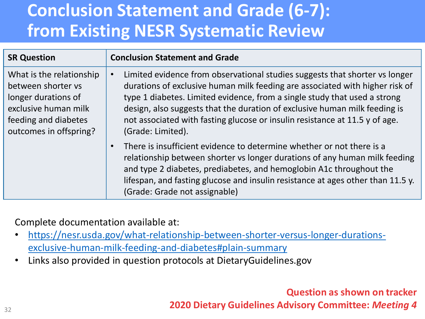## **Conclusion Statement and Grade (6-7): from Existing NESR Systematic Review**

| <b>SR Question</b>                                                                                                                              | <b>Conclusion Statement and Grade</b>                                                                                                                                                                                                                                                                                                                                                                                      |  |
|-------------------------------------------------------------------------------------------------------------------------------------------------|----------------------------------------------------------------------------------------------------------------------------------------------------------------------------------------------------------------------------------------------------------------------------------------------------------------------------------------------------------------------------------------------------------------------------|--|
| What is the relationship<br>between shorter vs<br>longer durations of<br>exclusive human milk<br>feeding and diabetes<br>outcomes in offspring? | Limited evidence from observational studies suggests that shorter vs longer<br>durations of exclusive human milk feeding are associated with higher risk of<br>type 1 diabetes. Limited evidence, from a single study that used a strong<br>design, also suggests that the duration of exclusive human milk feeding is<br>not associated with fasting glucose or insulin resistance at 11.5 y of age.<br>(Grade: Limited). |  |
|                                                                                                                                                 | There is insufficient evidence to determine whether or not there is a<br>$\bullet$<br>relationship between shorter vs longer durations of any human milk feeding<br>and type 2 diabetes, prediabetes, and hemoglobin A1c throughout the<br>lifespan, and fasting glucose and insulin resistance at ages other than 11.5 y.<br>(Grade: Grade not assignable)                                                                |  |

Complete documentation available at:

- [https://nesr.usda.gov/what-relationship-between-shorter-versus-longer-durations](https://nesr.usda.gov/what-relationship-between-shorter-versus-longer-durations-exclusive-human-milk-feeding-and-diabetes#plain-summary)exclusive-human-milk-feeding-and-diabetes#plain-summary
- Links also provided in question protocols at DietaryGuidelines.gov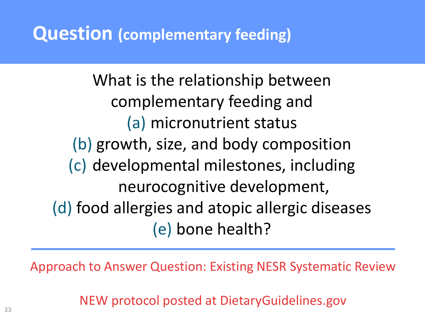### **Question (complementary feeding)**

What is the relationship between complementary feeding and (a) micronutrient status (b) growth, size, and body composition (c) developmental milestones, including neurocognitive development, (d) food allergies and atopic allergic diseases (e) bone health?

Approach to Answer Question: Existing NESR Systematic Review

NEW protocol posted at DietaryGuidelines.gov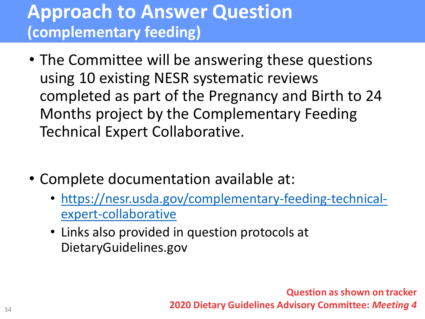#### **Approach to Answer Question (complementary feeding)**

- The Committee will be answering these questions using 10 existing NESR systematic reviews completed as part of the Pregnancy and Birth to 24 Months project by the Complementary Feeding Technical Expert Collaborative.
- Complete documentation available at:
	- [https://nesr.usda.gov/complementary-feeding-technical](https://nesr.usda.gov/complementary-feeding-technical-expert-collaborative)expert-collaborative
	- Links also provided in question protocols at DietaryGuidelines.gov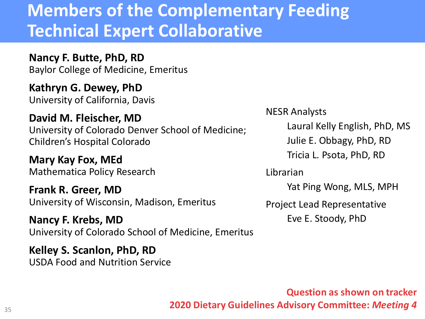#### **Members of the Complementary Feeding Technical Expert Collaborative**

**Nancy F. Butte, PhD, RD** Baylor College of Medicine, Emeritus

**Kathryn G. Dewey, PhD** University of California, Davis

**David M. Fleischer, MD** University of Colorado Denver School of Medicine; Children's Hospital Colorado

**Mary Kay Fox, MEd** Mathematica Policy Research

**Frank R. Greer, MD** University of Wisconsin, Madison, Emeritus

**Nancy F. Krebs, MD** University of Colorado School of Medicine, Emeritus

**Kelley S. Scanlon, PhD, RD** USDA Food and Nutrition Service

#### NESR Analysts

Laural Kelly English, PhD, MS

Julie E. Obbagy, PhD, RD

Tricia L. Psota, PhD, RD

Librarian

Yat Ping Wong, MLS, MPH

Project Lead Representative

Eve E. Stoody, PhD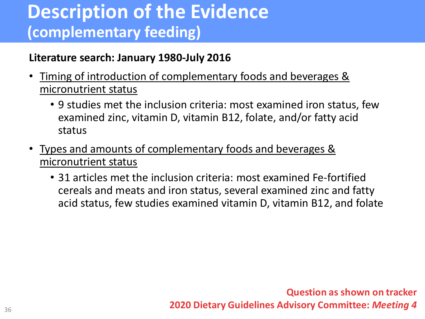## **Description of the Evidence (complementary feeding)**

#### **Literature search: January 1980-July 2016**

- Timing of introduction of complementary foods and beverages & micronutrient status
	- 9 studies met the inclusion criteria: most examined iron status, few examined zinc, vitamin D, vitamin B12, folate, and/or fatty acid status
- Types and amounts of complementary foods and beverages & micronutrient status
	- 31 articles met the inclusion criteria: most examined Fe-fortified cereals and meats and iron status, several examined zinc and fatty acid status, few studies examined vitamin D, vitamin B12, and folate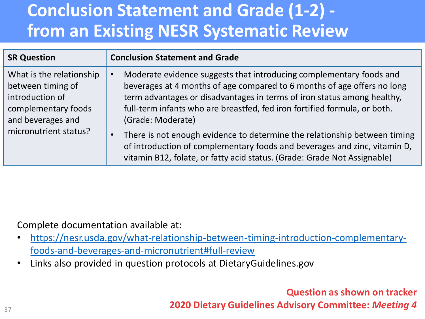## **Conclusion Statement and Grade (1-2) from an Existing NESR Systematic Review**

| <b>SR Question</b>                                                                                           | <b>Conclusion Statement and Grade</b>                                                                                                                                                                                                                                                                                       |
|--------------------------------------------------------------------------------------------------------------|-----------------------------------------------------------------------------------------------------------------------------------------------------------------------------------------------------------------------------------------------------------------------------------------------------------------------------|
| What is the relationship<br>between timing of<br>introduction of<br>complementary foods<br>and beverages and | Moderate evidence suggests that introducing complementary foods and<br>beverages at 4 months of age compared to 6 months of age offers no long<br>term advantages or disadvantages in terms of iron status among healthy,<br>full-term infants who are breastfed, fed iron fortified formula, or both.<br>(Grade: Moderate) |
| micronutrient status?                                                                                        | There is not enough evidence to determine the relationship between timing<br>$\bullet$<br>of introduction of complementary foods and beverages and zinc, vitamin D,<br>vitamin B12, folate, or fatty acid status. (Grade: Grade Not Assignable)                                                                             |

Complete documentation available at:

- [https://nesr.usda.gov/what-relationship-between-timing-introduction-complementary](https://nesr.usda.gov/what-relationship-between-timing-introduction-complementary-foods-and-beverages-and-micronutrient#full-review)foods-and-beverages-and-micronutrient#full-review
- Links also provided in question protocols at DietaryGuidelines.gov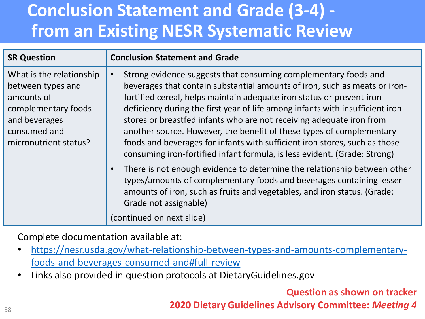## **Conclusion Statement and Grade (3-4) from an Existing NESR Systematic Review**

| <b>SR Question</b>                                                                                                                           | <b>Conclusion Statement and Grade</b>                                                                                                                                                                                                                                                                                                                                                                                                                                                                                                                                                                              |
|----------------------------------------------------------------------------------------------------------------------------------------------|--------------------------------------------------------------------------------------------------------------------------------------------------------------------------------------------------------------------------------------------------------------------------------------------------------------------------------------------------------------------------------------------------------------------------------------------------------------------------------------------------------------------------------------------------------------------------------------------------------------------|
| What is the relationship<br>between types and<br>amounts of<br>complementary foods<br>and beverages<br>consumed and<br>micronutrient status? | Strong evidence suggests that consuming complementary foods and<br>beverages that contain substantial amounts of iron, such as meats or iron-<br>fortified cereal, helps maintain adequate iron status or prevent iron<br>deficiency during the first year of life among infants with insufficient iron<br>stores or breastfed infants who are not receiving adequate iron from<br>another source. However, the benefit of these types of complementary<br>foods and beverages for infants with sufficient iron stores, such as those<br>consuming iron-fortified infant formula, is less evident. (Grade: Strong) |
|                                                                                                                                              | There is not enough evidence to determine the relationship between other<br>types/amounts of complementary foods and beverages containing lesser<br>amounts of iron, such as fruits and vegetables, and iron status. (Grade:<br>Grade not assignable)<br>(continued on next slide)                                                                                                                                                                                                                                                                                                                                 |

Complete documentation available at:

- [https://nesr.usda.gov/what-relationship-between-types-and-amounts-complementary](https://nesr.usda.gov/what-relationship-between-types-and-amounts-complementary-foods-and-beverages-consumed-and#full-review)foods-and-beverages-consumed-and#full-review
- Links also provided in question protocols at DietaryGuidelines.gov

**Question as shown on tracker**

**2020 Dietary Guidelines Advisory Committee:** *Meeting 4*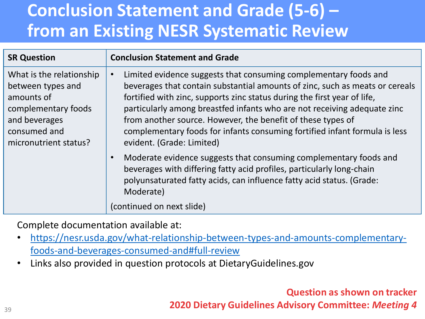## **Conclusion Statement and Grade (5-6) – from an Existing NESR Systematic Review**

| <b>SR Question</b>                                                                                                                           | <b>Conclusion Statement and Grade</b>                                                                                                                                                                                                                                                                                                                                                                                                                                              |
|----------------------------------------------------------------------------------------------------------------------------------------------|------------------------------------------------------------------------------------------------------------------------------------------------------------------------------------------------------------------------------------------------------------------------------------------------------------------------------------------------------------------------------------------------------------------------------------------------------------------------------------|
| What is the relationship<br>between types and<br>amounts of<br>complementary foods<br>and beverages<br>consumed and<br>micronutrient status? | Limited evidence suggests that consuming complementary foods and<br>beverages that contain substantial amounts of zinc, such as meats or cereals<br>fortified with zinc, supports zinc status during the first year of life,<br>particularly among breastfed infants who are not receiving adequate zinc<br>from another source. However, the benefit of these types of<br>complementary foods for infants consuming fortified infant formula is less<br>evident. (Grade: Limited) |
|                                                                                                                                              | Moderate evidence suggests that consuming complementary foods and<br>$\bullet$<br>beverages with differing fatty acid profiles, particularly long-chain<br>polyunsaturated fatty acids, can influence fatty acid status. (Grade:<br>Moderate)<br>(continued on next slide)                                                                                                                                                                                                         |

Complete documentation available at:

- [https://nesr.usda.gov/what-relationship-between-types-and-amounts-complementary](https://nesr.usda.gov/what-relationship-between-types-and-amounts-complementary-foods-and-beverages-consumed-and#full-review)foods-and-beverages-consumed-and#full-review
- Links also provided in question protocols at DietaryGuidelines.gov

**Question as shown on tracker**

**2020 Dietary Guidelines Advisory Committee:** *Meeting 4*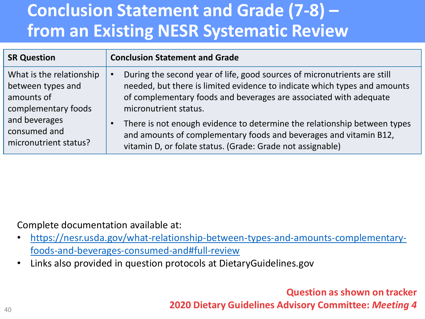## **Conclusion Statement and Grade (7-8) – from an Existing NESR Systematic Review**

| <b>SR Question</b>                                                                 | <b>Conclusion Statement and Grade</b>                                                                                                                                                                                                                            |
|------------------------------------------------------------------------------------|------------------------------------------------------------------------------------------------------------------------------------------------------------------------------------------------------------------------------------------------------------------|
| What is the relationship<br>between types and<br>amounts of<br>complementary foods | During the second year of life, good sources of micronutrients are still<br>$\bullet$<br>needed, but there is limited evidence to indicate which types and amounts<br>of complementary foods and beverages are associated with adequate<br>micronutrient status. |
| and beverages<br>consumed and<br>micronutrient status?                             | There is not enough evidence to determine the relationship between types<br>$\bullet$<br>and amounts of complementary foods and beverages and vitamin B12,<br>vitamin D, or folate status. (Grade: Grade not assignable)                                         |

Complete documentation available at:

- [https://nesr.usda.gov/what-relationship-between-types-and-amounts-complementary](https://nesr.usda.gov/what-relationship-between-types-and-amounts-complementary-foods-and-beverages-consumed-and#full-review)foods-and-beverages-consumed-and#full-review
- Links also provided in question protocols at DietaryGuidelines.gov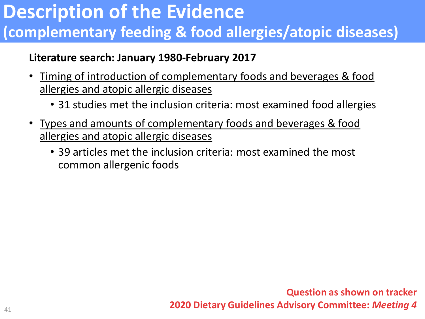## **Description of the Evidence (complementary feeding & food allergies/atopic diseases)**

#### **Literature search: January 1980-February 2017**

- Timing of introduction of complementary foods and beverages & food allergies and atopic allergic diseases
	- 31 studies met the inclusion criteria: most examined food allergies
- Types and amounts of complementary foods and beverages & food allergies and atopic allergic diseases
	- 39 articles met the inclusion criteria: most examined the most common allergenic foods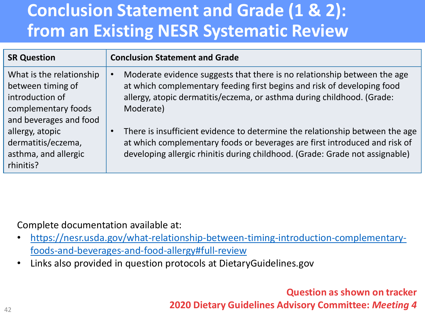## **Conclusion Statement and Grade (1 & 2): from an Existing NESR Systematic Review**

| <b>SR Question</b>                                                                                                                                                                              | <b>Conclusion Statement and Grade</b>                                                                                                                                                                                                                                                                                                                                                                                                                                                                 |
|-------------------------------------------------------------------------------------------------------------------------------------------------------------------------------------------------|-------------------------------------------------------------------------------------------------------------------------------------------------------------------------------------------------------------------------------------------------------------------------------------------------------------------------------------------------------------------------------------------------------------------------------------------------------------------------------------------------------|
| What is the relationship<br>between timing of<br>introduction of<br>complementary foods<br>and beverages and food<br>allergy, atopic<br>dermatitis/eczema,<br>asthma, and allergic<br>rhinitis? | Moderate evidence suggests that there is no relationship between the age<br>at which complementary feeding first begins and risk of developing food<br>allergy, atopic dermatitis/eczema, or asthma during childhood. (Grade:<br>Moderate)<br>There is insufficient evidence to determine the relationship between the age<br>$\bullet$<br>at which complementary foods or beverages are first introduced and risk of<br>developing allergic rhinitis during childhood. (Grade: Grade not assignable) |
|                                                                                                                                                                                                 |                                                                                                                                                                                                                                                                                                                                                                                                                                                                                                       |

Complete documentation available at:

- [https://nesr.usda.gov/what-relationship-between-timing-introduction-complementary](https://nesr.usda.gov/what-relationship-between-timing-introduction-complementary-foods-and-beverages-and-food-allergy#full-review)foods-and-beverages-and-food-allergy#full-review
- Links also provided in question protocols at DietaryGuidelines.gov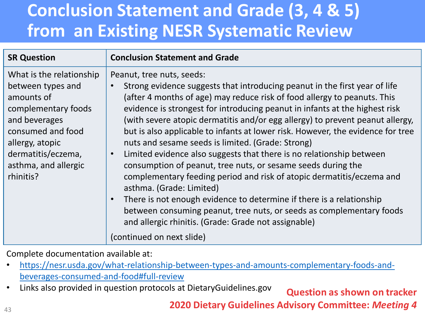### **Conclusion Statement and Grade (3, 4 & 5) from an Existing NESR Systematic Review**

| <b>SR Question</b>                                                                                                                                                                                     | <b>Conclusion Statement and Grade</b>                                                                                                                                                                                                                                                                                                                                                                                                                                                                                                                                                                                                                                                                                                                                                                                                                                                                                                                                                                                |
|--------------------------------------------------------------------------------------------------------------------------------------------------------------------------------------------------------|----------------------------------------------------------------------------------------------------------------------------------------------------------------------------------------------------------------------------------------------------------------------------------------------------------------------------------------------------------------------------------------------------------------------------------------------------------------------------------------------------------------------------------------------------------------------------------------------------------------------------------------------------------------------------------------------------------------------------------------------------------------------------------------------------------------------------------------------------------------------------------------------------------------------------------------------------------------------------------------------------------------------|
| What is the relationship<br>between types and<br>amounts of<br>complementary foods<br>and beverages<br>consumed and food<br>allergy, atopic<br>dermatitis/eczema,<br>asthma, and allergic<br>rhinitis? | Peanut, tree nuts, seeds:<br>Strong evidence suggests that introducing peanut in the first year of life<br>$\bullet$<br>(after 4 months of age) may reduce risk of food allergy to peanuts. This<br>evidence is strongest for introducing peanut in infants at the highest risk<br>(with severe atopic dermatitis and/or egg allergy) to prevent peanut allergy,<br>but is also applicable to infants at lower risk. However, the evidence for tree<br>nuts and sesame seeds is limited. (Grade: Strong)<br>Limited evidence also suggests that there is no relationship between<br>$\bullet$<br>consumption of peanut, tree nuts, or sesame seeds during the<br>complementary feeding period and risk of atopic dermatitis/eczema and<br>asthma. (Grade: Limited)<br>There is not enough evidence to determine if there is a relationship<br>$\bullet$<br>between consuming peanut, tree nuts, or seeds as complementary foods<br>and allergic rhinitis. (Grade: Grade not assignable)<br>(continued on next slide) |

Complete documentation available at:

- [https://nesr.usda.gov/what-relationship-between-types-and-amounts-complementary-foods-and](https://nesr.usda.gov/what-relationship-between-types-and-amounts-complementary-foods-and-beverages-consumed-and-food#full-review)beverages-consumed-and-food#full-review
- Links also provided in question protocols at DietaryGuidelines.gov **Question as shown on tracker**

**2020 Dietary Guidelines Advisory Committee:** *Meeting 4*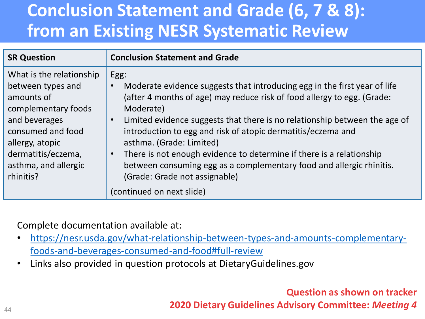## **Conclusion Statement and Grade (6, 7 & 8): from an Existing NESR Systematic Review**

| <b>SR Question</b>                                                                                                                                                                                     | <b>Conclusion Statement and Grade</b>                                                                                                                                                                                                                                                                                                                                                                                                                                                                                                                             |
|--------------------------------------------------------------------------------------------------------------------------------------------------------------------------------------------------------|-------------------------------------------------------------------------------------------------------------------------------------------------------------------------------------------------------------------------------------------------------------------------------------------------------------------------------------------------------------------------------------------------------------------------------------------------------------------------------------------------------------------------------------------------------------------|
| What is the relationship<br>between types and<br>amounts of<br>complementary foods<br>and beverages<br>consumed and food<br>allergy, atopic<br>dermatitis/eczema,<br>asthma, and allergic<br>rhinitis? | Egg:<br>Moderate evidence suggests that introducing egg in the first year of life<br>(after 4 months of age) may reduce risk of food allergy to egg. (Grade:<br>Moderate)<br>Limited evidence suggests that there is no relationship between the age of<br>introduction to egg and risk of atopic dermatitis/eczema and<br>asthma. (Grade: Limited)<br>There is not enough evidence to determine if there is a relationship<br>between consuming egg as a complementary food and allergic rhinitis.<br>(Grade: Grade not assignable)<br>(continued on next slide) |

Complete documentation available at:

- [https://nesr.usda.gov/what-relationship-between-types-and-amounts-complementary](https://nesr.usda.gov/what-relationship-between-types-and-amounts-complementary-foods-and-beverages-consumed-and-food#full-review)foods-and-beverages-consumed-and-food#full-review
- Links also provided in question protocols at DietaryGuidelines.gov

**Question as shown on tracker**

**2020 Dietary Guidelines Advisory Committee:** *Meeting 4*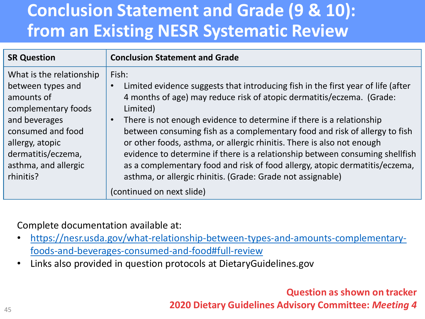## **Conclusion Statement and Grade (9 & 10): from an Existing NESR Systematic Review**

| <b>SR Question</b>                                                                                                                                                                                     | <b>Conclusion Statement and Grade</b>                                                                                                                                                                                                                                                                                                                                                                                                                                                                                                                                                                                                                                  |
|--------------------------------------------------------------------------------------------------------------------------------------------------------------------------------------------------------|------------------------------------------------------------------------------------------------------------------------------------------------------------------------------------------------------------------------------------------------------------------------------------------------------------------------------------------------------------------------------------------------------------------------------------------------------------------------------------------------------------------------------------------------------------------------------------------------------------------------------------------------------------------------|
| What is the relationship<br>between types and<br>amounts of<br>complementary foods<br>and beverages<br>consumed and food<br>allergy, atopic<br>dermatitis/eczema,<br>asthma, and allergic<br>rhinitis? | Fish:<br>Limited evidence suggests that introducing fish in the first year of life (after<br>$\bullet$<br>4 months of age) may reduce risk of atopic dermatitis/eczema. (Grade:<br>Limited)<br>There is not enough evidence to determine if there is a relationship<br>$\bullet$<br>between consuming fish as a complementary food and risk of allergy to fish<br>or other foods, asthma, or allergic rhinitis. There is also not enough<br>evidence to determine if there is a relationship between consuming shellfish<br>as a complementary food and risk of food allergy, atopic dermatitis/eczema,<br>asthma, or allergic rhinitis. (Grade: Grade not assignable) |
|                                                                                                                                                                                                        | (continued on next slide)                                                                                                                                                                                                                                                                                                                                                                                                                                                                                                                                                                                                                                              |

Complete documentation available at:

- [https://nesr.usda.gov/what-relationship-between-types-and-amounts-complementary](https://nesr.usda.gov/what-relationship-between-types-and-amounts-complementary-foods-and-beverages-consumed-and-food#full-review)foods-and-beverages-consumed-and-food#full-review
- Links also provided in question protocols at DietaryGuidelines.gov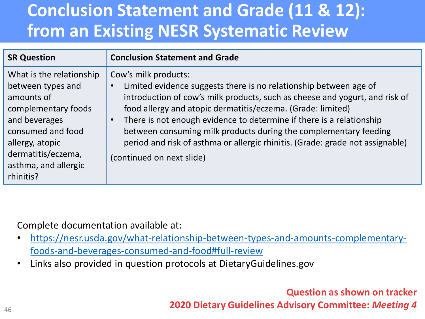## **Conclusion Statement and Grade (11 & 12): from an Existing NESR Systematic Review**

| <b>SR Question</b>                                                                                                                                                                                     | <b>Conclusion Statement and Grade</b>                                                                                                                                                                                                                                                                                                                                                                                                                                                             |
|--------------------------------------------------------------------------------------------------------------------------------------------------------------------------------------------------------|---------------------------------------------------------------------------------------------------------------------------------------------------------------------------------------------------------------------------------------------------------------------------------------------------------------------------------------------------------------------------------------------------------------------------------------------------------------------------------------------------|
| What is the relationship<br>between types and<br>amounts of<br>complementary foods<br>and beverages<br>consumed and food<br>allergy, atopic<br>dermatitis/eczema,<br>asthma, and allergic<br>rhinitis? | Cow's milk products:<br>Limited evidence suggests there is no relationship between age of<br>introduction of cow's milk products, such as cheese and yogurt, and risk of<br>food allergy and atopic dermatitis/eczema. (Grade: limited)<br>There is not enough evidence to determine if there is a relationship<br>between consuming milk products during the complementary feeding<br>period and risk of asthma or allergic rhinitis. (Grade: grade not assignable)<br>(continued on next slide) |

Complete documentation available at:

- [https://nesr.usda.gov/what-relationship-between-types-and-amounts-complementary](https://nesr.usda.gov/what-relationship-between-types-and-amounts-complementary-foods-and-beverages-consumed-and-food#full-review)foods-and-beverages-consumed-and-food#full-review
- Links also provided in question protocols at DietaryGuidelines.gov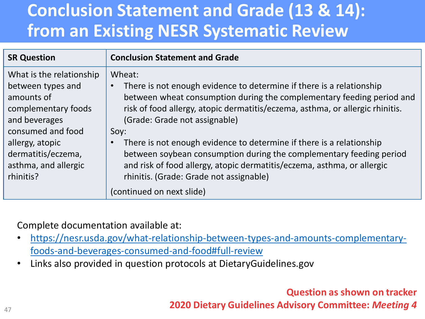## **Conclusion Statement and Grade (13 & 14): from an Existing NESR Systematic Review**

| <b>SR Question</b>                                                                                                                                                                                     | <b>Conclusion Statement and Grade</b>                                                                                                                                                                                                                                                                                                                                                                                                                                                                                                                                            |
|--------------------------------------------------------------------------------------------------------------------------------------------------------------------------------------------------------|----------------------------------------------------------------------------------------------------------------------------------------------------------------------------------------------------------------------------------------------------------------------------------------------------------------------------------------------------------------------------------------------------------------------------------------------------------------------------------------------------------------------------------------------------------------------------------|
| What is the relationship<br>between types and<br>amounts of<br>complementary foods<br>and beverages<br>consumed and food<br>allergy, atopic<br>dermatitis/eczema,<br>asthma, and allergic<br>rhinitis? | Wheat:<br>There is not enough evidence to determine if there is a relationship<br>$\bullet$<br>between wheat consumption during the complementary feeding period and<br>risk of food allergy, atopic dermatitis/eczema, asthma, or allergic rhinitis.<br>(Grade: Grade not assignable)<br>Soy:<br>There is not enough evidence to determine if there is a relationship<br>$\bullet$<br>between soybean consumption during the complementary feeding period<br>and risk of food allergy, atopic dermatitis/eczema, asthma, or allergic<br>rhinitis. (Grade: Grade not assignable) |
|                                                                                                                                                                                                        | (continued on next slide)                                                                                                                                                                                                                                                                                                                                                                                                                                                                                                                                                        |

Complete documentation available at:

- [https://nesr.usda.gov/what-relationship-between-types-and-amounts-complementary](https://nesr.usda.gov/what-relationship-between-types-and-amounts-complementary-foods-and-beverages-consumed-and-food#full-review)foods-and-beverages-consumed-and-food#full-review
- Links also provided in question protocols at DietaryGuidelines.gov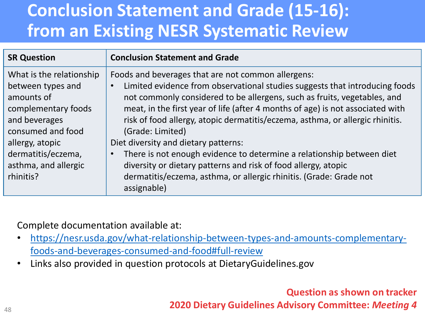## **Conclusion Statement and Grade (15-16): from an Existing NESR Systematic Review**

| <b>SR Question</b>                                                                                                                                                                                     | <b>Conclusion Statement and Grade</b>                                                                                                                                                                                                                                                                                                                                                                                                                                                                                                                                                                                                                                                                  |
|--------------------------------------------------------------------------------------------------------------------------------------------------------------------------------------------------------|--------------------------------------------------------------------------------------------------------------------------------------------------------------------------------------------------------------------------------------------------------------------------------------------------------------------------------------------------------------------------------------------------------------------------------------------------------------------------------------------------------------------------------------------------------------------------------------------------------------------------------------------------------------------------------------------------------|
| What is the relationship<br>between types and<br>amounts of<br>complementary foods<br>and beverages<br>consumed and food<br>allergy, atopic<br>dermatitis/eczema,<br>asthma, and allergic<br>rhinitis? | Foods and beverages that are not common allergens:<br>Limited evidence from observational studies suggests that introducing foods<br>$\bullet$<br>not commonly considered to be allergens, such as fruits, vegetables, and<br>meat, in the first year of life (after 4 months of age) is not associated with<br>risk of food allergy, atopic dermatitis/eczema, asthma, or allergic rhinitis.<br>(Grade: Limited)<br>Diet diversity and dietary patterns:<br>There is not enough evidence to determine a relationship between diet<br>$\bullet$<br>diversity or dietary patterns and risk of food allergy, atopic<br>dermatitis/eczema, asthma, or allergic rhinitis. (Grade: Grade not<br>assignable) |

Complete documentation available at:

- [https://nesr.usda.gov/what-relationship-between-types-and-amounts-complementary](https://nesr.usda.gov/what-relationship-between-types-and-amounts-complementary-foods-and-beverages-consumed-and-food#full-review)foods-and-beverages-consumed-and-food#full-review
- Links also provided in question protocols at DietaryGuidelines.gov

**Question as shown on tracker**

**2020 Dietary Guidelines Advisory Committee:** *Meeting 4*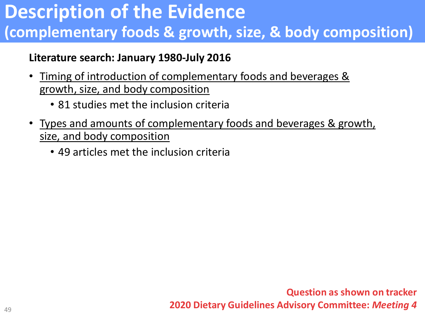## **Description of the Evidence (complementary foods & growth, size, & body composition)**

#### **Literature search: January 1980-July 2016**

- Timing of introduction of complementary foods and beverages & growth, size, and body composition
	- 81 studies met the inclusion criteria
- Types and amounts of complementary foods and beverages & growth, size, and body composition
	- 49 articles met the inclusion criteria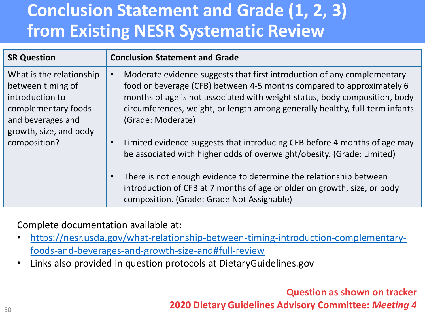## **Conclusion Statement and Grade (1, 2, 3) from Existing NESR Systematic Review**

| <b>SR Question</b>                                                                                                                                     | <b>Conclusion Statement and Grade</b>                                                                                                                                                                                                                                                                                                             |
|--------------------------------------------------------------------------------------------------------------------------------------------------------|---------------------------------------------------------------------------------------------------------------------------------------------------------------------------------------------------------------------------------------------------------------------------------------------------------------------------------------------------|
| What is the relationship<br>between timing of<br>introduction to<br>complementary foods<br>and beverages and<br>growth, size, and body<br>composition? | Moderate evidence suggests that first introduction of any complementary<br>$\bullet$<br>food or beverage (CFB) between 4-5 months compared to approximately 6<br>months of age is not associated with weight status, body composition, body<br>circumferences, weight, or length among generally healthy, full-term infants.<br>(Grade: Moderate) |
|                                                                                                                                                        | Limited evidence suggests that introducing CFB before 4 months of age may<br>$\bullet$<br>be associated with higher odds of overweight/obesity. (Grade: Limited)                                                                                                                                                                                  |
|                                                                                                                                                        | There is not enough evidence to determine the relationship between<br>$\bullet$<br>introduction of CFB at 7 months of age or older on growth, size, or body<br>composition. (Grade: Grade Not Assignable)                                                                                                                                         |

Complete documentation available at:

- [https://nesr.usda.gov/what-relationship-between-timing-introduction-complementary](https://nesr.usda.gov/what-relationship-between-timing-introduction-complementary-foods-and-beverages-and-growth-size-and#full-review)foods-and-beverages-and-growth-size-and#full-review
- Links also provided in question protocols at DietaryGuidelines.gov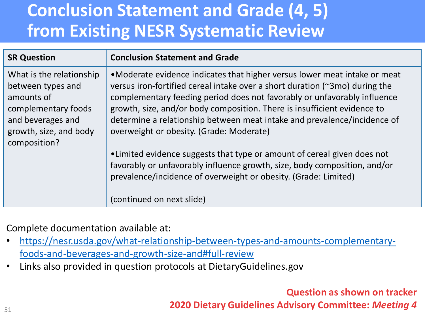## **Conclusion Statement and Grade (4, 5) from Existing NESR Systematic Review**

| <b>SR Question</b>                                                                                                                | <b>Conclusion Statement and Grade</b>                                                                                                                                                                                                                                                                                                                                                                                                    |
|-----------------------------------------------------------------------------------------------------------------------------------|------------------------------------------------------------------------------------------------------------------------------------------------------------------------------------------------------------------------------------------------------------------------------------------------------------------------------------------------------------------------------------------------------------------------------------------|
| What is the relationship<br>between types and<br>amounts of<br>complementary foods<br>and beverages and<br>growth, size, and body | •Moderate evidence indicates that higher versus lower meat intake or meat<br>versus iron-fortified cereal intake over a short duration (~3mo) during the<br>complementary feeding period does not favorably or unfavorably influence<br>growth, size, and/or body composition. There is insufficient evidence to<br>determine a relationship between meat intake and prevalence/incidence of<br>overweight or obesity. (Grade: Moderate) |
| composition?                                                                                                                      | •Limited evidence suggests that type or amount of cereal given does not<br>favorably or unfavorably influence growth, size, body composition, and/or<br>prevalence/incidence of overweight or obesity. (Grade: Limited)<br>(continued on next slide)                                                                                                                                                                                     |

Complete documentation available at:

- [https://nesr.usda.gov/what-relationship-between-types-and-amounts-complementary](https://nesr.usda.gov/what-relationship-between-types-and-amounts-complementary-foods-and-beverages-and-growth-size-and#full-review)foods-and-beverages-and-growth-size-and#full-review
- Links also provided in question protocols at DietaryGuidelines.gov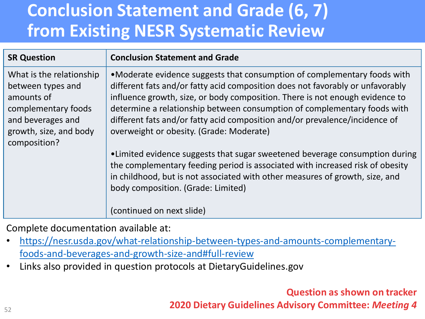## **Conclusion Statement and Grade (6, 7) from Existing NESR Systematic Review**

| <b>SR Question</b>                                                                                                                                | <b>Conclusion Statement and Grade</b>                                                                                                                                                                                                                                                                                                                                                                                                             |
|---------------------------------------------------------------------------------------------------------------------------------------------------|---------------------------------------------------------------------------------------------------------------------------------------------------------------------------------------------------------------------------------------------------------------------------------------------------------------------------------------------------------------------------------------------------------------------------------------------------|
| What is the relationship<br>between types and<br>amounts of<br>complementary foods<br>and beverages and<br>growth, size, and body<br>composition? | •Moderate evidence suggests that consumption of complementary foods with<br>different fats and/or fatty acid composition does not favorably or unfavorably<br>influence growth, size, or body composition. There is not enough evidence to<br>determine a relationship between consumption of complementary foods with<br>different fats and/or fatty acid composition and/or prevalence/incidence of<br>overweight or obesity. (Grade: Moderate) |
|                                                                                                                                                   | •Limited evidence suggests that sugar sweetened beverage consumption during<br>the complementary feeding period is associated with increased risk of obesity<br>in childhood, but is not associated with other measures of growth, size, and<br>body composition. (Grade: Limited)<br>(continued on next slide)                                                                                                                                   |

Complete documentation available at:

- [https://nesr.usda.gov/what-relationship-between-types-and-amounts-complementary](https://nesr.usda.gov/what-relationship-between-types-and-amounts-complementary-foods-and-beverages-and-growth-size-and#full-review)foods-and-beverages-and-growth-size-and#full-review
- Links also provided in question protocols at DietaryGuidelines.gov

**Question as shown on tracker**

**2020 Dietary Guidelines Advisory Committee:** *Meeting 4*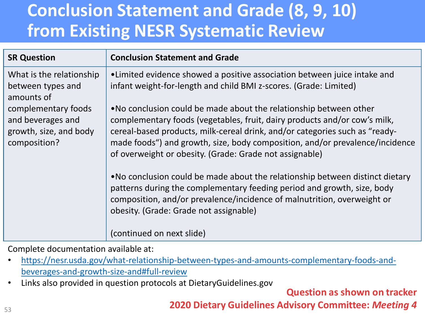## **Conclusion Statement and Grade (8, 9, 10) from Existing NESR Systematic Review**

| <b>SR Question</b>                                                                 | <b>Conclusion Statement and Grade</b>                                                                                                                                                                                                                                                                                                                                     |
|------------------------------------------------------------------------------------|---------------------------------------------------------------------------------------------------------------------------------------------------------------------------------------------------------------------------------------------------------------------------------------------------------------------------------------------------------------------------|
| What is the relationship<br>between types and<br>amounts of                        | •Limited evidence showed a positive association between juice intake and<br>infant weight-for-length and child BMI z-scores. (Grade: Limited)                                                                                                                                                                                                                             |
| complementary foods<br>and beverages and<br>growth, size, and body<br>composition? | . No conclusion could be made about the relationship between other<br>complementary foods (vegetables, fruit, dairy products and/or cow's milk,<br>cereal-based products, milk-cereal drink, and/or categories such as "ready-<br>made foods") and growth, size, body composition, and/or prevalence/incidence<br>of overweight or obesity. (Grade: Grade not assignable) |
|                                                                                    | . No conclusion could be made about the relationship between distinct dietary<br>patterns during the complementary feeding period and growth, size, body<br>composition, and/or prevalence/incidence of malnutrition, overweight or<br>obesity. (Grade: Grade not assignable)                                                                                             |
|                                                                                    | (continued on next slide)                                                                                                                                                                                                                                                                                                                                                 |

Complete documentation available at:

- [https://nesr.usda.gov/what-relationship-between-types-and-amounts-complementary-foods-and](https://nesr.usda.gov/what-relationship-between-types-and-amounts-complementary-foods-and-beverages-and-growth-size-and#full-review)beverages-and-growth-size-and#full-review
- Links also provided in question protocols at DietaryGuidelines.gov

**Question as shown on tracker**

**2020 Dietary Guidelines Advisory Committee:** *Meeting 4*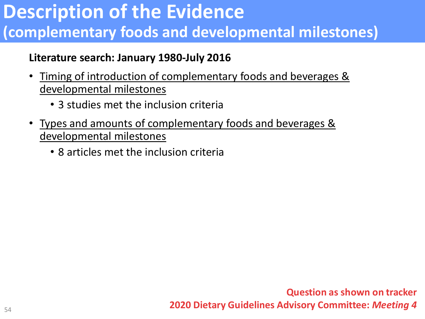## **Description of the Evidence (complementary foods and developmental milestones)**

#### **Literature search: January 1980-July 2016**

- Timing of introduction of complementary foods and beverages & developmental milestones
	- 3 studies met the inclusion criteria
- Types and amounts of complementary foods and beverages & developmental milestones
	- 8 articles met the inclusion criteria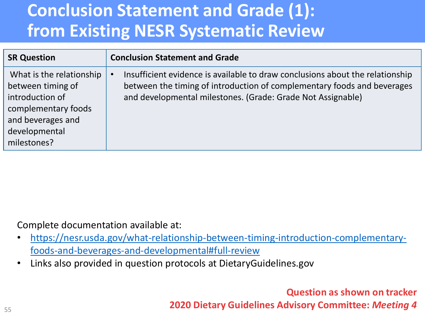## **Conclusion Statement and Grade (1): from Existing NESR Systematic Review**

| <b>SR Question</b>                                                                                                                           | <b>Conclusion Statement and Grade</b>                                                                                                                                                                                   |
|----------------------------------------------------------------------------------------------------------------------------------------------|-------------------------------------------------------------------------------------------------------------------------------------------------------------------------------------------------------------------------|
| What is the relationship<br>between timing of<br>introduction of<br>complementary foods<br>and beverages and<br>developmental<br>milestones? | Insufficient evidence is available to draw conclusions about the relationship<br>between the timing of introduction of complementary foods and beverages<br>and developmental milestones. (Grade: Grade Not Assignable) |

Complete documentation available at:

- [https://nesr.usda.gov/what-relationship-between-timing-introduction-complementary](https://nesr.usda.gov/what-relationship-between-timing-introduction-complementary-foods-and-beverages-and-developmental#full-review)foods-and-beverages-and-developmental#full-review
- Links also provided in question protocols at DietaryGuidelines.gov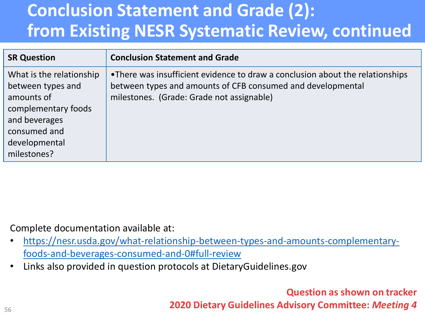## **Conclusion Statement and Grade (2): from Existing NESR Systematic Review, continued**

| <b>SR Question</b>                                                                                                                                  | <b>Conclusion Statement and Grade</b>                                                                                                                                                     |
|-----------------------------------------------------------------------------------------------------------------------------------------------------|-------------------------------------------------------------------------------------------------------------------------------------------------------------------------------------------|
| What is the relationship<br>between types and<br>amounts of<br>complementary foods<br>and beverages<br>consumed and<br>developmental<br>milestones? | •There was insufficient evidence to draw a conclusion about the relationships<br>between types and amounts of CFB consumed and developmental<br>milestones. (Grade: Grade not assignable) |

Complete documentation available at:

- [https://nesr.usda.gov/what-relationship-between-types-and-amounts-complementary](https://nesr.usda.gov/what-relationship-between-types-and-amounts-complementary-foods-and-beverages-consumed-and-0#full-review)foods-and-beverages-consumed-and-0#full-review
- Links also provided in question protocols at DietaryGuidelines.gov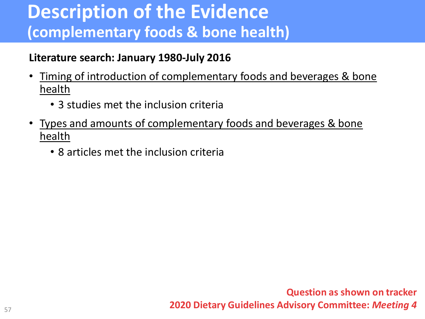#### **Description of the Evidence (complementary foods & bone health)**

#### **Literature search: January 1980-July 2016**

- Timing of introduction of complementary foods and beverages & bone health
	- 3 studies met the inclusion criteria
- Types and amounts of complementary foods and beverages & bone health
	- 8 articles met the inclusion criteria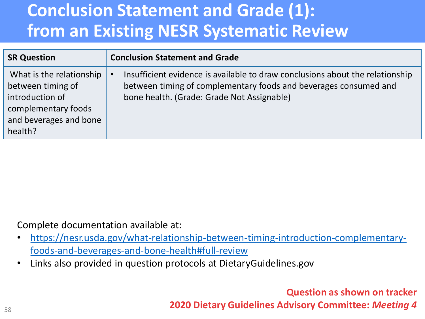## **Conclusion Statement and Grade (1): from an Existing NESR Systematic Review**

| <b>SR Question</b>                                                                                                           | <b>Conclusion Statement and Grade</b>                                                                                                                                                           |
|------------------------------------------------------------------------------------------------------------------------------|-------------------------------------------------------------------------------------------------------------------------------------------------------------------------------------------------|
| What is the relationship<br>between timing of<br>introduction of<br>complementary foods<br>and beverages and bone<br>health? | Insufficient evidence is available to draw conclusions about the relationship<br>between timing of complementary foods and beverages consumed and<br>bone health. (Grade: Grade Not Assignable) |

Complete documentation available at:

- [https://nesr.usda.gov/what-relationship-between-timing-introduction-complementary](https://nesr.usda.gov/what-relationship-between-timing-introduction-complementary-foods-and-beverages-and-bone-health#full-review)foods-and-beverages-and-bone-health#full-review
- Links also provided in question protocols at DietaryGuidelines.gov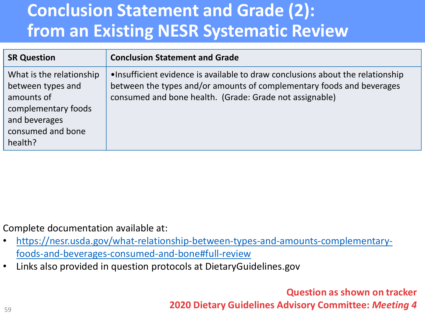## **Conclusion Statement and Grade (2): from an Existing NESR Systematic Review**

| <b>SR Question</b>                                                                                                                  | <b>Conclusion Statement and Grade</b>                                                                                                                                                                               |
|-------------------------------------------------------------------------------------------------------------------------------------|---------------------------------------------------------------------------------------------------------------------------------------------------------------------------------------------------------------------|
| What is the relationship<br>between types and<br>amounts of<br>complementary foods<br>and beverages<br>consumed and bone<br>health? | . Insufficient evidence is available to draw conclusions about the relationship<br>between the types and/or amounts of complementary foods and beverages<br>consumed and bone health. (Grade: Grade not assignable) |

Complete documentation available at:

- [https://nesr.usda.gov/what-relationship-between-types-and-amounts-complementary](https://nesr.usda.gov/what-relationship-between-types-and-amounts-complementary-foods-and-beverages-consumed-and-bone#full-review)foods-and-beverages-consumed-and-bone#full-review
- Links also provided in question protocols at DietaryGuidelines.gov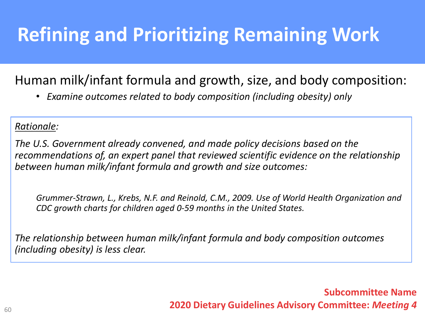# **Refining and Prioritizing Remaining Work**

#### Human milk/infant formula and growth, size, and body composition:

• *Examine outcomes related to body composition (including obesity) only*

#### *Rationale:*

*The U.S. Government already convened, and made policy decisions based on the recommendations of, an expert panel that reviewed scientific evidence on the relationship between human milk/infant formula and growth and size outcomes:*

*Grummer-Strawn, L., Krebs, N.F. and Reinold, C.M., 2009. Use of World Health Organization and CDC growth charts for children aged 0-59 months in the United States.*

*The relationship between human milk/infant formula and body composition outcomes (including obesity) is less clear.*

> **Subcommittee Name 2020 Dietary Guidelines Advisory Committee:** *Meeting 4*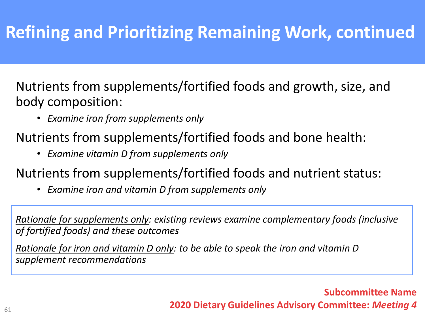## **Refining and Prioritizing Remaining Work, continued**

Nutrients from supplements/fortified foods and growth, size, and body composition:

- *Examine iron from supplements only*
- Nutrients from supplements/fortified foods and bone health:
	- *Examine vitamin D from supplements only*
- Nutrients from supplements/fortified foods and nutrient status:
	- *Examine iron and vitamin D from supplements only*

*Rationale for supplements only: existing reviews examine complementary foods (inclusive of fortified foods) and these outcomes*

*Rationale for iron and vitamin D only: to be able to speak the iron and vitamin D supplement recommendations*

#### **Subcommittee Name 2020 Dietary Guidelines Advisory Committee:** *Meeting 4*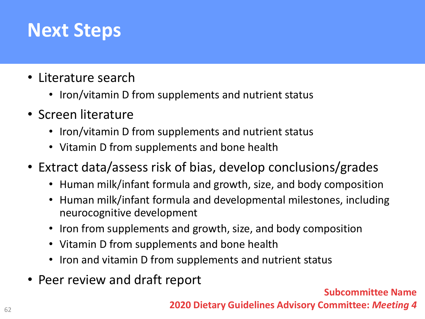# **Next Steps**

- Literature search
	- Iron/vitamin D from supplements and nutrient status
- Screen literature
	- Iron/vitamin D from supplements and nutrient status
	- Vitamin D from supplements and bone health
- Extract data/assess risk of bias, develop conclusions/grades
	- Human milk/infant formula and growth, size, and body composition
	- Human milk/infant formula and developmental milestones, including neurocognitive development
	- Iron from supplements and growth, size, and body composition
	- Vitamin D from supplements and bone health
	- Iron and vitamin D from supplements and nutrient status
- Peer review and draft report

**Subcommittee Name**

**2020 Dietary Guidelines Advisory Committee:** *Meeting 4*